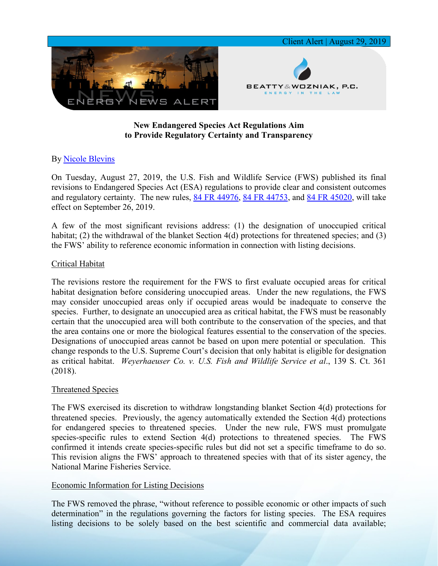

## **New Endangered Species Act Regulations Aim to Provide Regulatory Certainty and Transparency**

# By [Nicole Blevins](https://www.bwenergylaw.com/nicole-blevins)

On Tuesday, August 27, 2019, the U.S. Fish and Wildlife Service (FWS) published its final revisions to Endangered Species Act (ESA) regulations to provide clear and consistent outcomes and regulatory certainty. The new rules, [84 FR 44976,](https://www.govinfo.gov/content/pkg/FR-2019-08-27/pdf/2019-17517.pdf) [84 FR 44753,](https://www.govinfo.gov/content/pkg/FR-2019-08-27/pdf/2019-17519.pdf) and [84 FR 45020,](https://www.govinfo.gov/content/pkg/FR-2019-08-27/pdf/2019-17518.pdf) will take effect on September 26, 2019.

A few of the most significant revisions address: (1) the designation of unoccupied critical habitat; (2) the withdrawal of the blanket Section 4(d) protections for threatened species; and (3) the FWS' ability to reference economic information in connection with listing decisions.

## Critical Habitat

The revisions restore the requirement for the FWS to first evaluate occupied areas for critical habitat designation before considering unoccupied areas. Under the new regulations, the FWS may consider unoccupied areas only if occupied areas would be inadequate to conserve the species. Further, to designate an unoccupied area as critical habitat, the FWS must be reasonably certain that the unoccupied area will both contribute to the conservation of the species, and that the area contains one or more the biological features essential to the conservation of the species. Designations of unoccupied areas cannot be based on upon mere potential or speculation. This change responds to the U.S. Supreme Court's decision that only habitat is eligible for designation as critical habitat. *Weyerhaeuser Co. v. U.S. Fish and Wildlife Service et al*., 139 S. Ct. 361 (2018).

#### Threatened Species

The FWS exercised its discretion to withdraw longstanding blanket Section 4(d) protections for threatened species. Previously, the agency automatically extended the Section 4(d) protections for endangered species to threatened species. Under the new rule, FWS must promulgate species-specific rules to extend Section 4(d) protections to threatened species. The FWS confirmed it intends create species-specific rules but did not set a specific timeframe to do so. This revision aligns the FWS' approach to threatened species with that of its sister agency, the National Marine Fisheries Service.

#### Economic Information for Listing Decisions

The FWS removed the phrase, "without reference to possible economic or other impacts of such determination" in the regulations governing the factors for listing species. The ESA requires listing decisions to be solely based on the best scientific and commercial data available;